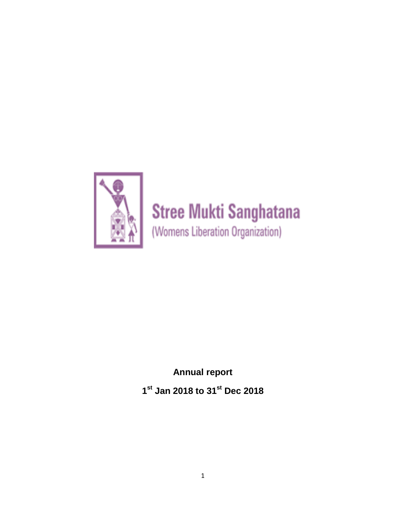

# **Stree Mukti Sanghatana**

(Womens Liberation Organization)

**Annual report 1 st Jan 2018 to 31st Dec 2018**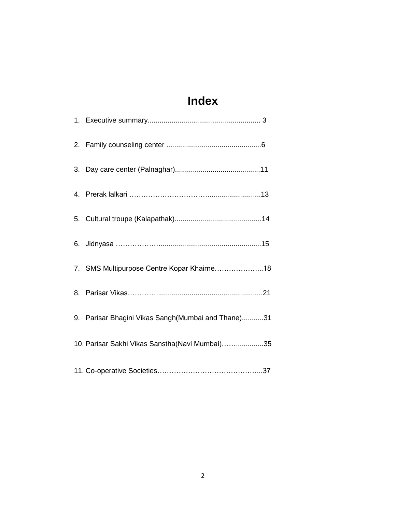# **Index**

| 7. SMS Multipurpose Centre Kopar Khairne18         |
|----------------------------------------------------|
|                                                    |
| 9. Parisar Bhagini Vikas Sangh(Mumbai and Thane)31 |
| 10. Parisar Sakhi Vikas Sanstha(Navi Mumbai)35     |
|                                                    |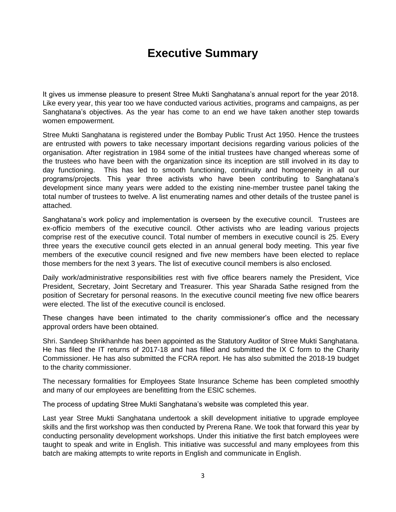### **Executive Summary**

It gives us immense pleasure to present Stree Mukti Sanghatana's annual report for the year 2018. Like every year, this year too we have conducted various activities, programs and campaigns, as per Sanghatana's objectives. As the year has come to an end we have taken another step towards women empowerment.

Stree Mukti Sanghatana is registered under the Bombay Public Trust Act 1950. Hence the trustees are entrusted with powers to take necessary important decisions regarding various policies of the organisation. After registration in 1984 some of the initial trustees have changed whereas some of the trustees who have been with the organization since its inception are still involved in its day to day functioning. This has led to smooth functioning, continuity and homogeneity in all our programs/projects. This year three activists who have been contributing to Sanghatana's development since many years were added to the existing nine-member trustee panel taking the total number of trustees to twelve. A list enumerating names and other details of the trustee panel is attached.

Sanghatana's work policy and implementation is overseen by the executive council. Trustees are ex-officio members of the executive council. Other activists who are leading various projects comprise rest of the executive council. Total number of members in executive council is 25. Every three years the executive council gets elected in an annual general body meeting. This year five members of the executive council resigned and five new members have been elected to replace those members for the next 3 years. The list of executive council members is also enclosed.

Daily work/administrative responsibilities rest with five office bearers namely the President, Vice President, Secretary, Joint Secretary and Treasurer. This year Sharada Sathe resigned from the position of Secretary for personal reasons. In the executive council meeting five new office bearers were elected. The list of the executive council is enclosed.

These changes have been intimated to the charity commissioner's office and the necessary approval orders have been obtained.

Shri. Sandeep Shrikhanhde has been appointed as the Statutory Auditor of Stree Mukti Sanghatana. He has filed the IT returns of 2017-18 and has filled and submitted the IX C form to the Charity Commissioner. He has also submitted the FCRA report. He has also submitted the 2018-19 budget to the charity commissioner.

The necessary formalities for Employees State Insurance Scheme has been completed smoothly and many of our employees are benefitting from the ESIC schemes.

The process of updating Stree Mukti Sanghatana's website was completed this year.

Last year Stree Mukti Sanghatana undertook a skill development initiative to upgrade employee skills and the first workshop was then conducted by Prerena Rane. We took that forward this year by conducting personality development workshops. Under this initiative the first batch employees were taught to speak and write in English. This initiative was successful and many employees from this batch are making attempts to write reports in English and communicate in English.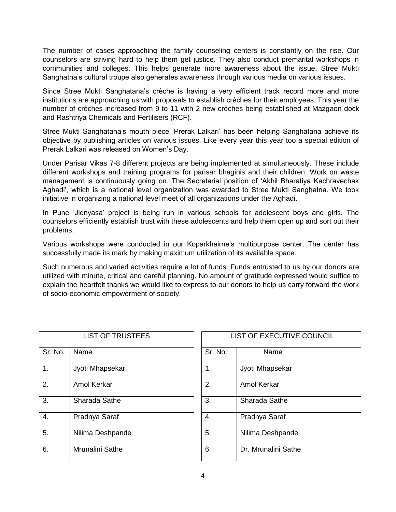The number of cases approaching the family counseling centers is constantly on the rise. Our counselors are striving hard to help them get justice. They also conduct premarital workshops in communities and colleges. This helps generate more awareness about the issue. Stree Mukti Sanghatna's cultural troupe also generates awareness through various media on various issues.

Since Stree Mukti Sanghatana's crèche is having a very efficient track record more and more institutions are approaching us with proposals to establish crèches for their employees. This year the number of crèches increased from 9 to 11 with 2 new crèches being established at Mazgaon dock and Rashtriya Chemicals and Fertilisers (RCF).

Stree Mukti Sanghatana's mouth piece 'Prerak Lalkari' has been helping Sanghatana achieve its objective by publishing articles on various issues. Like every year this year too a special edition of Prerak Lalkari was released on Women's Day.

Under Parisar Vikas 7-8 different projects are being implemented at simultaneously. These include different workshops and training programs for parisar bhaginis and their children. Work on waste management is continuously going on. The Secretarial position of 'Akhil Bharatiya Kachravechak Aghadi', which is a national level organization was awarded to Stree Mukti Sanghatna. We took initiative in organizing a national level meet of all organizations under the Aghadi.

In Pune 'Jidnyasa' project is being run in various schools for adolescent boys and girls. The counselors efficiently establish trust with these adolescents and help them open up and sort out their problems.

Various workshops were conducted in our Koparkhairne's multipurpose center. The center has successfully made its mark by making maximum utilization of its available space.

Such numerous and varied activities require a lot of funds. Funds entrusted to us by our donors are utilized with minute, critical and careful planning. No amount of gratitude expressed would suffice to explain the heartfelt thanks we would like to express to our donors to help us carry forward the work of socio-economic empowerment of society.

|         | <b>LIST OF TRUSTEES</b> |         | <b>LIST OF EXECUTIVE</b> |
|---------|-------------------------|---------|--------------------------|
| Sr. No. | Name                    | Sr. No. | Name                     |
| 1.      | Jyoti Mhapsekar         | 1.      | Jyoti Mhapsekar          |
| 2.      | Amol Kerkar             | 2.      | Amol Kerkar              |
| 3.      | Sharada Sathe           | 3.      | Sharada Sathe            |
| 4.      | Pradnya Saraf           | 4.      | Pradnya Saraf            |
| 5.      | Nilima Deshpande        | 5.      | Nilima Deshpande         |
| 6.      | Mrunalini Sathe         | 6.      | Dr. Mrunalini Sathe      |

| <b>LIST OF TRUSTEES</b> |         | LIST OF EXECUTIVE COUNCIL |  |  |  |  |
|-------------------------|---------|---------------------------|--|--|--|--|
| me                      | Sr. No. | Name                      |  |  |  |  |
| ti Mhapsekar            | 1.      | Jyoti Mhapsekar           |  |  |  |  |
| ol Kerkar               | 2.      | Amol Kerkar               |  |  |  |  |
| arada Sathe             | 3.      | Sharada Sathe             |  |  |  |  |
| ıdnya Saraf             | 4.      | Pradnya Saraf             |  |  |  |  |
| ma Deshpande            | 5.      | Nilima Deshpande          |  |  |  |  |
| <b>unalini Sathe</b>    | 6.      | Dr. Mrunalini Sathe       |  |  |  |  |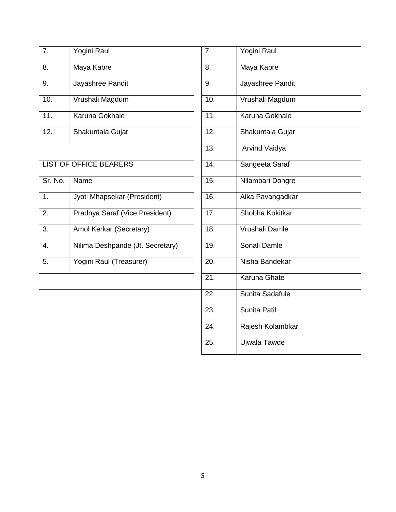| 7.  | Yogini Raul      | 7.  | Yogini Raul      |
|-----|------------------|-----|------------------|
| 8.  | Maya Kabre       | 8.  | Maya Kabre       |
| 9.  | Jayashree Pandit | 9.  | Jayashree Pandit |
| 10. | Vrushali Magdum  | 10. | Vrushali Magdum  |
| 11. | Karuna Gokhale   | 11. | Karuna Gokhale   |
| 12. | Shakuntala Gujar | 12. | Shakuntala Gujar |

|         | <b>LIST OF OFFICE BEARERS</b>    | 14. | Sangeeta Saraf        |
|---------|----------------------------------|-----|-----------------------|
| Sr. No. | Name                             | 15. | Nilambari Dongre      |
| 1.      | Jyoti Mhapsekar (President)      | 16. | Alka Pavangadkar      |
| 2.      | Pradnya Saraf (Vice President)   | 17. | Shobha Kokitkar       |
| 3.      | Amol Kerkar (Secretary)          | 18. | Vrushali Damle        |
| 4.      | Nilima Deshpande (Jt. Secretary) | 19. | Sonali Damle          |
| 5.      | Yogini Raul (Treasurer)          | 20. | Nisha Bandekar        |
|         |                                  | 21. | Karuna Ghate          |
|         |                                  | nn. | $O$ usita $O$ odofulo |

| 7.                | Yogini Raul           |
|-------------------|-----------------------|
| 8.                | Maya Kabre            |
| 9.                | Jayashree Pandit      |
| 10.               | Vrushali Magdum       |
| 11.               | Karuna Gokhale        |
| 12.               | Shakuntala Gujar      |
| $\overline{13}$ . | <b>Arvind Vaidya</b>  |
| $\overline{14}$ . | Sangeeta Saraf        |
| $\overline{15}$ . | Nilambari Dongre      |
| $\overline{16}$ . | Alka Pavangadkar      |
| 17.               | Shobha Kokitkar       |
| 18.               | <b>Vrushali Damle</b> |
| 19.               | Sonali Damle          |
| 20.               | Nisha Bandekar        |
| $\overline{21}$ . | Karuna Ghate          |
| 22.               | Sunita Sadafule       |
| 23.               | Sunita Patil          |
| $\overline{24}$ . | Rajesh Kolambkar      |
| 25.               | Ujwala Tawde          |
|                   |                       |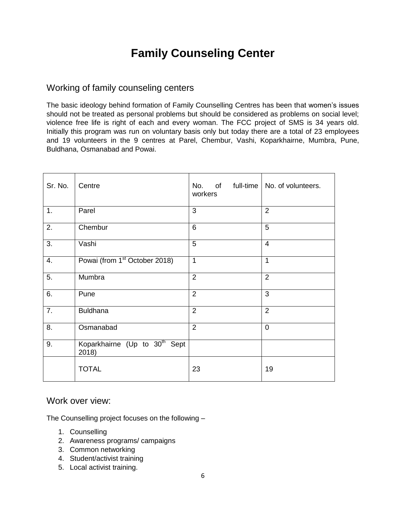## **Family Counseling Center**

### Working of family counseling centers

The basic ideology behind formation of Family Counselling Centres has been that women's issues should not be treated as personal problems but should be considered as problems on social level; violence free life is right of each and every woman. The FCC project of SMS is 34 years old. Initially this program was run on voluntary basis only but today there are a total of 23 employees and 19 volunteers in the 9 centres at Parel, Chembur, Vashi, Koparkhairne, Mumbra, Pune, Buldhana, Osmanabad and Powai.

| Sr. No.          | Centre                                             | No. of full-time   No. of volunteers.<br>workers |                |
|------------------|----------------------------------------------------|--------------------------------------------------|----------------|
| 1.               | Parel                                              | 3                                                | $\overline{2}$ |
| 2.               | Chembur                                            | $6\phantom{1}6$                                  | 5              |
| $\overline{3}$ . | Vashi                                              | 5                                                | $\overline{4}$ |
| 4.               | Powai (from 1 <sup>st</sup> October 2018)          | $\overline{1}$                                   | 1              |
| 5.               | Mumbra                                             | $\overline{2}$                                   | $\overline{2}$ |
| 6.               | Pune                                               | $\overline{2}$                                   | 3              |
| $\overline{7}$ . | <b>Buldhana</b>                                    | $\overline{2}$                                   | $\overline{2}$ |
| 8.               | Osmanabad                                          | $\overline{2}$                                   | $\overline{0}$ |
| 9.               | Koparkhairne (Up to 30 <sup>th</sup> Sept<br>2018) |                                                  |                |
|                  | <b>TOTAL</b>                                       | 23                                               | 19             |

#### Work over view:

The Counselling project focuses on the following –

- 1. Counselling
- 2. Awareness programs/ campaigns
- 3. Common networking
- 4. Student/activist training
- 5. Local activist training.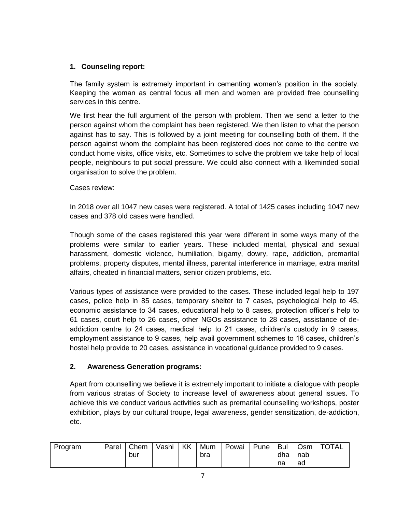#### **1. Counseling report:**

The family system is extremely important in cementing women's position in the society. Keeping the woman as central focus all men and women are provided free counselling services in this centre.

We first hear the full argument of the person with problem. Then we send a letter to the person against whom the complaint has been registered. We then listen to what the person against has to say. This is followed by a joint meeting for counselling both of them. If the person against whom the complaint has been registered does not come to the centre we conduct home visits, office visits, etc. Sometimes to solve the problem we take help of local people, neighbours to put social pressure. We could also connect with a likeminded social organisation to solve the problem.

Cases review:

In 2018 over all 1047 new cases were registered. A total of 1425 cases including 1047 new cases and 378 old cases were handled.

Though some of the cases registered this year were different in some ways many of the problems were similar to earlier years. These included mental, physical and sexual harassment, domestic violence, humiliation, bigamy, dowry, rape, addiction, premarital problems, property disputes, mental illness, parental interference in marriage, extra marital affairs, cheated in financial matters, senior citizen problems, etc.

Various types of assistance were provided to the cases. These included legal help to 197 cases, police help in 85 cases, temporary shelter to 7 cases, psychological help to 45, economic assistance to 34 cases, educational help to 8 cases, protection officer's help to 61 cases, court help to 26 cases, other NGOs assistance to 28 cases, assistance of deaddiction centre to 24 cases, medical help to 21 cases, children's custody in 9 cases, employment assistance to 9 cases, help avail government schemes to 16 cases, children's hostel help provide to 20 cases, assistance in vocational guidance provided to 9 cases.

#### **2. Awareness Generation programs:**

Apart from counselling we believe it is extremely important to initiate a dialogue with people from various stratas of Society to increase level of awareness about general issues. To achieve this we conduct various activities such as premarital counselling workshops, poster exhibition, plays by our cultural troupe, legal awareness, gender sensitization, de-addiction, etc.

| Program | Parel | Chem | Vashi | KK | Mum | Powai | Pune | . Bul | l Osm | <b>TOTAL</b> |
|---------|-------|------|-------|----|-----|-------|------|-------|-------|--------------|
|         |       | bur  |       |    | bra |       |      | dha   | nab   |              |
|         |       |      |       |    |     |       |      | na    | ad    |              |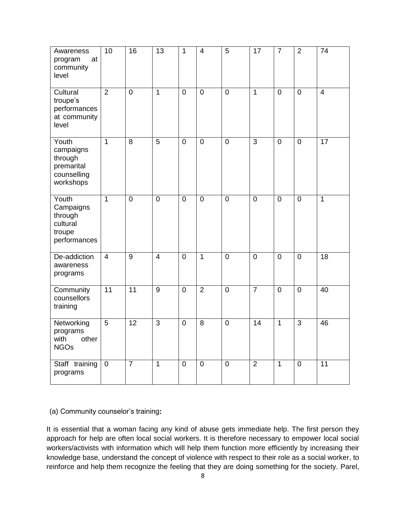| Awareness<br>at<br>program<br>community<br>level                        | 10                      | 16             | 13             | $\mathbf{1}$   | $\overline{\mathbf{4}}$ | 5           | 17             | $\overline{7}$ | $\overline{2}$ | 74             |
|-------------------------------------------------------------------------|-------------------------|----------------|----------------|----------------|-------------------------|-------------|----------------|----------------|----------------|----------------|
| Cultural<br>troupe's<br>performances<br>at community<br>level           | $\overline{2}$          | $\mathbf 0$    | $\mathbf{1}$   | $\mathbf 0$    | $\mathbf 0$             | $\mathbf 0$ | $\mathbf{1}$   | $\mathbf 0$    | $\mathbf 0$    | $\overline{4}$ |
| Youth<br>campaigns<br>through<br>premarital<br>counselling<br>workshops | $\overline{1}$          | 8              | 5              | $\mathbf 0$    | $\overline{0}$          | $\mathbf 0$ | 3              | $\overline{0}$ | $\mathbf 0$    | 17             |
| Youth<br>Campaigns<br>through<br>cultural<br>troupe<br>performances     | $\mathbf{1}$            | $\mathbf 0$    | $\mathbf 0$    | $\mathbf 0$    | $\mathbf 0$             | $\mathbf 0$ | $\overline{0}$ | $\overline{0}$ | $\mathbf 0$    | $\mathbf{1}$   |
| De-addiction<br>awareness<br>programs                                   | $\overline{\mathbf{4}}$ | 9              | $\overline{4}$ | $\mathbf 0$    | $\mathbf{1}$            | $\mathbf 0$ | $\mathbf 0$    | $\mathbf 0$    | $\mathbf 0$    | 18             |
| Community<br>counsellors<br>training                                    | $\overline{11}$         | 11             | 9              | $\mathbf 0$    | $\overline{2}$          | $\mathbf 0$ | $\overline{7}$ | $\overline{0}$ | $\mathbf 0$    | 40             |
| Networking<br>programs<br>with<br>other<br><b>NGOs</b>                  | 5                       | 12             | 3              | $\mathbf 0$    | 8                       | $\pmb{0}$   | 14             | $\mathbf{1}$   | 3              | 46             |
| Staff training<br>programs                                              | $\mathbf 0$             | $\overline{7}$ | $\mathbf{1}$   | $\overline{0}$ | $\mathbf 0$             | $\mathbf 0$ | $\overline{2}$ | $\mathbf{1}$   | $\mathbf 0$    | 11             |

(a) Community counselor's training**:** 

It is essential that a woman facing any kind of abuse gets immediate help. The first person they approach for help are often local social workers. It is therefore necessary to empower local social workers/activists with information which will help them function more efficiently by increasing their knowledge base, understand the concept of violence with respect to their role as a social worker, to reinforce and help them recognize the feeling that they are doing something for the society. Parel,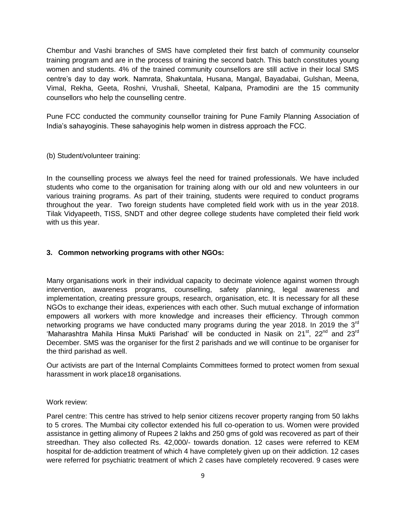Chembur and Vashi branches of SMS have completed their first batch of community counselor training program and are in the process of training the second batch. This batch constitutes young women and students. 4% of the trained community counsellors are still active in their local SMS centre's day to day work. Namrata, Shakuntala, Husana, Mangal, Bayadabai, Gulshan, Meena, Vimal, Rekha, Geeta, Roshni, Vrushali, Sheetal, Kalpana, Pramodini are the 15 community counsellors who help the counselling centre.

Pune FCC conducted the community counsellor training for Pune Family Planning Association of India's sahayoginis. These sahayoginis help women in distress approach the FCC.

(b) Student/volunteer training:

In the counselling process we always feel the need for trained professionals. We have included students who come to the organisation for training along with our old and new volunteers in our various training programs. As part of their training, students were required to conduct programs throughout the year. Two foreign students have completed field work with us in the year 2018. Tilak Vidyapeeth, TISS, SNDT and other degree college students have completed their field work with us this year.

#### **3. Common networking programs with other NGOs:**

Many organisations work in their individual capacity to decimate violence against women through intervention, awareness programs, counselling, safety planning, legal awareness and implementation, creating pressure groups, research, organisation, etc. It is necessary for all these NGOs to exchange their ideas, experiences with each other. Such mutual exchange of information empowers all workers with more knowledge and increases their efficiency. Through common networking programs we have conducted many programs during the year 2018. In 2019 the 3<sup>rd</sup> 'Maharashtra Mahila Hinsa Mukti Parishad' will be conducted in Nasik on 21<sup>st</sup>, 22<sup>nd</sup> and 23<sup>rd</sup> December. SMS was the organiser for the first 2 parishads and we will continue to be organiser for the third parishad as well.

Our activists are part of the Internal Complaints Committees formed to protect women from sexual harassment in work place18 organisations.

#### Work review:

Parel centre: This centre has strived to help senior citizens recover property ranging from 50 lakhs to 5 crores. The Mumbai city collector extended his full co-operation to us. Women were provided assistance in getting alimony of Rupees 2 lakhs and 250 gms of gold was recovered as part of their streedhan. They also collected Rs. 42,000/- towards donation. 12 cases were referred to KEM hospital for de-addiction treatment of which 4 have completely given up on their addiction. 12 cases were referred for psychiatric treatment of which 2 cases have completely recovered. 9 cases were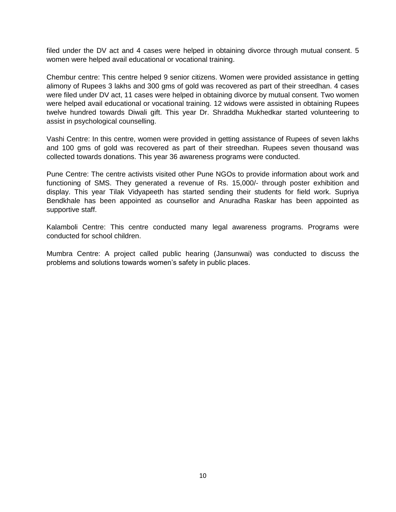filed under the DV act and 4 cases were helped in obtaining divorce through mutual consent. 5 women were helped avail educational or vocational training.

Chembur centre: This centre helped 9 senior citizens. Women were provided assistance in getting alimony of Rupees 3 lakhs and 300 gms of gold was recovered as part of their streedhan. 4 cases were filed under DV act, 11 cases were helped in obtaining divorce by mutual consent. Two women were helped avail educational or vocational training. 12 widows were assisted in obtaining Rupees twelve hundred towards Diwali gift. This year Dr. Shraddha Mukhedkar started volunteering to assist in psychological counselling.

Vashi Centre: In this centre, women were provided in getting assistance of Rupees of seven lakhs and 100 gms of gold was recovered as part of their streedhan. Rupees seven thousand was collected towards donations. This year 36 awareness programs were conducted.

Pune Centre: The centre activists visited other Pune NGOs to provide information about work and functioning of SMS. They generated a revenue of Rs. 15,000/- through poster exhibition and display. This year Tilak Vidyapeeth has started sending their students for field work. Supriya Bendkhale has been appointed as counsellor and Anuradha Raskar has been appointed as supportive staff.

Kalamboli Centre: This centre conducted many legal awareness programs. Programs were conducted for school children.

Mumbra Centre: A project called public hearing (Jansunwai) was conducted to discuss the problems and solutions towards women's safety in public places.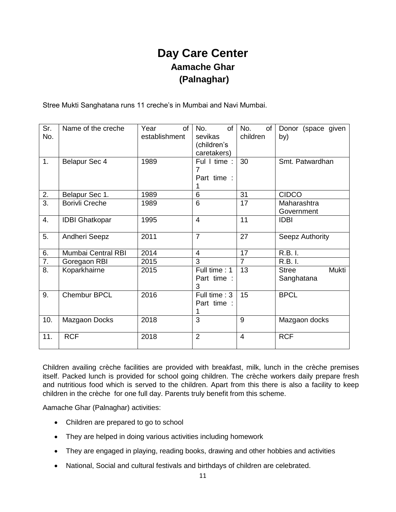### **Day Care Center Aamache Ghar (Palnaghar)**

Stree Mukti Sanghatana runs 11 creche's in Mumbai and Navi Mumbai.

| Sr.<br>No.       | Name of the creche    | <sub>of</sub><br>Year<br>establishment | of<br>No.<br>sevikas<br>(children's<br>caretakers) | No.<br>of<br>children | Donor (space given<br>by)           |
|------------------|-----------------------|----------------------------------------|----------------------------------------------------|-----------------------|-------------------------------------|
| 1.               | Belapur Sec 4         | 1989                                   | Ful I time:<br>7<br>Part time :                    | 30                    | Smt. Patwardhan                     |
| 2.               | Belapur Sec 1.        | 1989                                   | 6                                                  | 31                    | <b>CIDCO</b>                        |
| $\overline{3}$ . | <b>Borivli Creche</b> | 1989                                   | 6                                                  | 17                    | Maharashtra<br>Government           |
| 4.               | <b>IDBI Ghatkopar</b> | 1995                                   | $\overline{4}$                                     | 11                    | <b>IDBI</b>                         |
| 5.               | Andheri Seepz         | 2011                                   | $\overline{7}$                                     | 27                    | Seepz Authority                     |
| 6.               | Mumbai Central RBI    | 2014                                   | $\overline{4}$                                     | 17                    | R.B. I.                             |
| $\overline{7}$ . | Goregaon RBI          | 2015                                   | 3                                                  | $\overline{7}$        | $\overline{R}$ .B. I.               |
| 8.               | Koparkhairne          | 2015                                   | Full time: 1<br>Part time :<br>3                   | 13                    | Mukti<br><b>Stree</b><br>Sanghatana |
| 9.               | <b>Chembur BPCL</b>   | 2016                                   | Full time: 3<br>Part time :                        | 15                    | <b>BPCL</b>                         |
| 10.              | Mazgaon Docks         | 2018                                   | 3                                                  | 9                     | Mazgaon docks                       |
| 11.              | <b>RCF</b>            | 2018                                   | $\overline{2}$                                     | 4                     | <b>RCF</b>                          |

Children availing crèche facilities are provided with breakfast, milk, lunch in the crèche premises itself. Packed lunch is provided for school going children. The crèche workers daily prepare fresh and nutritious food which is served to the children. Apart from this there is also a facility to keep children in the crèche for one full day. Parents truly benefit from this scheme.

Aamache Ghar (Palnaghar) activities:

- Children are prepared to go to school
- They are helped in doing various activities including homework
- They are engaged in playing, reading books, drawing and other hobbies and activities
- National, Social and cultural festivals and birthdays of children are celebrated.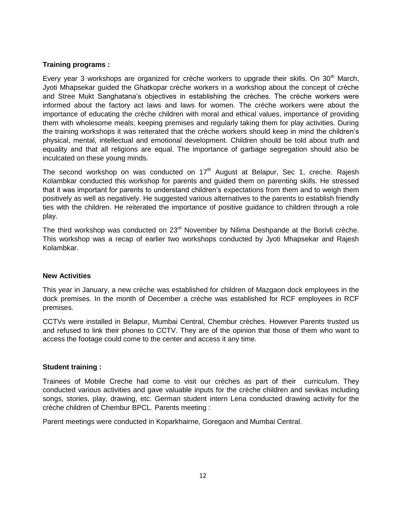#### **Training programs :**

Every year 3 workshops are organized for crèche workers to upgrade their skills. On  $30<sup>th</sup>$  March, Jyoti Mhapsekar guided the Ghatkopar crèche workers in a workshop about the concept of crèche and Stree Mukt Sanghatana's objectives in establishing the crèches. The crèche workers were informed about the factory act laws and laws for women. The crèche workers were about the importance of educating the crèche children with moral and ethical values, importance of providing them with wholesome meals; keeping premises and regularly taking them for play activities. During the training workshops it was reiterated that the crèche workers should keep in mind the children's physical, mental, intellectual and emotional development. Children should be told about truth and equality and that all religions are equal. The importance of garbage segregation should also be inculcated on these young minds.

The second workshop on was conducted on  $17<sup>th</sup>$  August at Belapur, Sec 1, creche. Rajesh Kolambkar conducted this workshop for parents and guided them on parenting skills. He stressed that it was important for parents to understand children's expectations from them and to weigh them positively as well as negatively. He suggested various alternatives to the parents to establish friendly ties with the children. He reiterated the importance of positive guidance to children through a role play.

The third workshop was conducted on 23<sup>rd</sup> November by Nilima Deshpande at the Borivli crèche. This workshop was a recap of earlier two workshops conducted by Jyoti Mhapsekar and Rajesh Kolambkar.

#### **New Activities**

This year in January, a new crèche was established for children of Mazgaon dock employees in the dock premises. In the month of December a crèche was established for RCF employees in RCF premises.

CCTVs were installed in Belapur, Mumbai Central, Chembur crèches. However Parents trusted us and refused to link their phones to CCTV. They are of the opinion that those of them who want to access the footage could come to the center and access it any time.

#### **Student training :**

Trainees of Mobile Creche had come to visit our crèches as part of their curriculum. They conducted various activities and gave valuable inputs for the crèche children and sevikas including songs, stories, play, drawing, etc. German student intern Lena conducted drawing activity for the crèche children of Chembur BPCL. Parents meeting :

Parent meetings were conducted in Koparkhairne, Goregaon and Mumbai Central.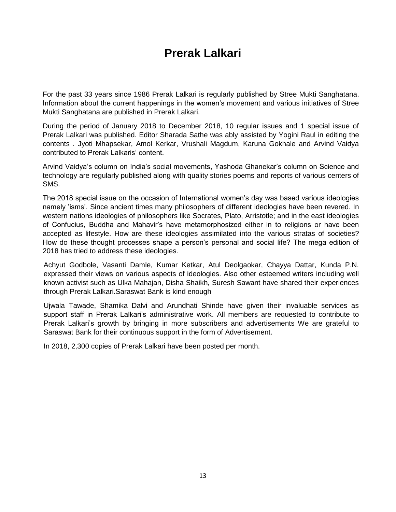### **Prerak Lalkari**

For the past 33 years since 1986 Prerak Lalkari is regularly published by Stree Mukti Sanghatana. Information about the current happenings in the women's movement and various initiatives of Stree Mukti Sanghatana are published in Prerak Lalkari.

During the period of January 2018 to December 2018, 10 regular issues and 1 special issue of Prerak Lalkari was published. Editor Sharada Sathe was ably assisted by Yogini Raul in editing the contents . Jyoti Mhapsekar, Amol Kerkar, Vrushali Magdum, Karuna Gokhale and Arvind Vaidya contributed to Prerak Lalkaris' content.

Arvind Vaidya's column on India's social movements, Yashoda Ghanekar's column on Science and technology are regularly published along with quality stories poems and reports of various centers of SMS.

The 2018 special issue on the occasion of International women's day was based various ideologies namely 'isms'. Since ancient times many philosophers of different ideologies have been revered. In western nations ideologies of philosophers like Socrates, Plato, Arristotle; and in the east ideologies of Confucius, Buddha and Mahavir's have metamorphosized either in to religions or have been accepted as lifestyle. How are these ideologies assimilated into the various stratas of societies? How do these thought processes shape a person's personal and social life? The mega edition of 2018 has tried to address these ideologies.

Achyut Godbole, Vasanti Damle, Kumar Ketkar, Atul Deolgaokar, Chayya Dattar, Kunda P.N. expressed their views on various aspects of ideologies. Also other esteemed writers including well known activist such as Ulka Mahajan, Disha Shaikh, Suresh Sawant have shared their experiences through Prerak Lalkari.Saraswat Bank is kind enough

Ujwala Tawade, Shamika Dalvi and Arundhati Shinde have given their invaluable services as support staff in Prerak Lalkari's administrative work. All members are requested to contribute to Prerak Lalkari's growth by bringing in more subscribers and advertisements We are grateful to Saraswat Bank for their continuous support in the form of Advertisement.

In 2018, 2,300 copies of Prerak Lalkari have been posted per month.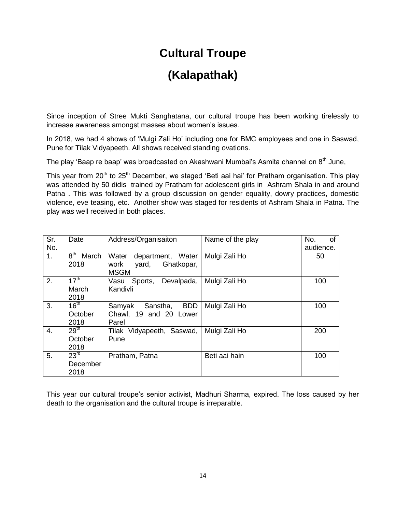### **Cultural Troupe**

### **(Kalapathak)**

Since inception of Stree Mukti Sanghatana, our cultural troupe has been working tirelessly to increase awareness amongst masses about women's issues.

In 2018, we had 4 shows of 'Mulgi Zali Ho' including one for BMC employees and one in Saswad, Pune for Tilak Vidyapeeth. All shows received standing ovations.

The play 'Baap re baap' was broadcasted on Akashwani Mumbai's Asmita channel on  $8<sup>th</sup>$  June,

This vear from 20<sup>th</sup> to 25<sup>th</sup> December, we staged 'Beti aai hai' for Pratham organisation. This play was attended by 50 didis trained by Pratham for adolescent girls in Ashram Shala in and around Patna . This was followed by a group discussion on gender equality, dowry practices, domestic violence, eve teasing, etc. Another show was staged for residents of Ashram Shala in Patna. The play was well received in both places.

| Sr.<br>No. | Date                                 | Address/Organisaiton                                                     | Name of the play | No.<br>οf<br>audience. |
|------------|--------------------------------------|--------------------------------------------------------------------------|------------------|------------------------|
| 1.         | $8^{\sf th}$<br>March<br>2018        | Water<br>department, Water<br>Ghatkopar,<br>work<br>yard,<br><b>MSGM</b> | Mulgi Zali Ho    | 50                     |
| 2.         | 17 <sup>th</sup><br>March<br>2018    | Devalpada,<br>Sports,<br>Vasu<br>Kandivli                                | Mulgi Zali Ho    | 100                    |
| 3.         | 16 <sup>th</sup><br>October<br>2018  | <b>BDD</b><br>Samyak<br>Sanstha,<br>Chawl, 19 and 20 Lower<br>Parel      | Mulgi Zali Ho    | 100                    |
| 4.         | 29 <sup>th</sup><br>October<br>2018  | Tilak Vidyapeeth, Saswad,<br>Pune                                        | Mulgi Zali Ho    | 200                    |
| 5.         | 23 <sup>rd</sup><br>December<br>2018 | Pratham, Patna                                                           | Beti aai hain    | 100                    |

This year our cultural troupe's senior activist, Madhuri Sharma, expired. The loss caused by her death to the organisation and the cultural troupe is irreparable.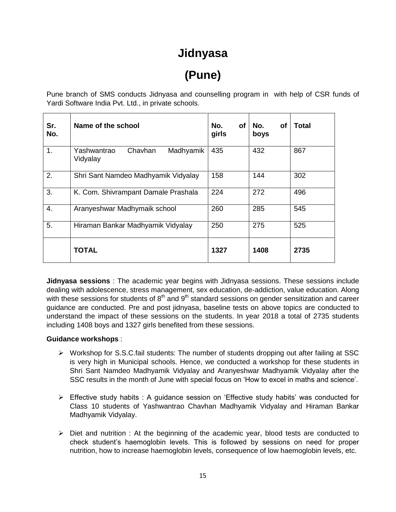### **Jidnyasa**

# **(Pune)**

Pune branch of SMS conducts Jidnyasa and counselling program in with help of CSR funds of Yardi Software India Pvt. Ltd., in private schools.

| Sr.<br>No. | Name of the school                              | No.<br>οf<br>girls | No.<br><b>of</b><br>boys | Total |
|------------|-------------------------------------------------|--------------------|--------------------------|-------|
| 1.         | Chavhan<br>Madhyamik<br>Yashwantrao<br>Vidyalay | 435                | 432                      | 867   |
| 2.         | Shri Sant Namdeo Madhyamik Vidyalay             | 158                | 144                      | 302   |
| 3.         | K. Com. Shivrampant Damale Prashala             | 224                | 272                      | 496   |
| 4.         | Aranyeshwar Madhymaik school                    | 260                | 285                      | 545   |
| 5.         | Hiraman Bankar Madhyamik Vidyalay               | 250                | 275                      | 525   |
|            | <b>TOTAL</b>                                    | 1327               | 1408                     | 2735  |

**Jidnyasa sessions** : The academic year begins with Jidnyasa sessions. These sessions include dealing with adolescence, stress management, sex education, de-addiction, value education. Along with these sessions for students of  $8<sup>th</sup>$  and  $9<sup>th</sup>$  standard sessions on gender sensitization and career guidance are conducted. Pre and post jidnyasa, baseline tests on above topics are conducted to understand the impact of these sessions on the students. In year 2018 a total of 2735 students including 1408 boys and 1327 girls benefited from these sessions.

#### **Guidance workshops** :

- $\triangleright$  Workshop for S.S.C.fail students: The number of students dropping out after failing at SSC is very high in Municipal schools. Hence, we conducted a workshop for these students in Shri Sant Namdeo Madhyamik Vidyalay and Aranyeshwar Madhyamik Vidyalay after the SSC results in the month of June with special focus on 'How to excel in maths and science'.
- $\triangleright$  Effective study habits : A guidance session on 'Effective study habits' was conducted for Class 10 students of Yashwantrao Chavhan Madhyamik Vidyalay and Hiraman Bankar Madhyamik Vidyalay.
- $\triangleright$  Diet and nutrition : At the beginning of the academic year, blood tests are conducted to check student's haemoglobin levels. This is followed by sessions on need for proper nutrition, how to increase haemoglobin levels, consequence of low haemoglobin levels, etc.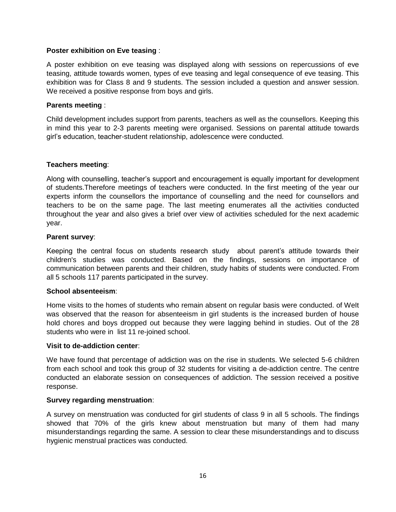#### **Poster exhibition on Eve teasing** :

A poster exhibition on eve teasing was displayed along with sessions on repercussions of eve teasing, attitude towards women, types of eve teasing and legal consequence of eve teasing. This exhibition was for Class 8 and 9 students. The session included a question and answer session. We received a positive response from boys and girls.

#### **Parents meeting** :

Child development includes support from parents, teachers as well as the counsellors. Keeping this in mind this year to 2-3 parents meeting were organised. Sessions on parental attitude towards girl's education, teacher-student relationship, adolescence were conducted.

#### **Teachers meeting**:

Along with counselling, teacher's support and encouragement is equally important for development of students.Therefore meetings of teachers were conducted. In the first meeting of the year our experts inform the counsellors the importance of counselling and the need for counsellors and teachers to be on the same page. The last meeting enumerates all the activities conducted throughout the year and also gives a brief over view of activities scheduled for the next academic year.

#### **Parent survey**:

Keeping the central focus on students research study about parent's attitude towards their children's studies was conducted. Based on the findings, sessions on importance of communication between parents and their children, study habits of students were conducted. From all 5 schools 117 parents participated in the survey.

#### **School absenteeism**:

Home visits to the homes of students who remain absent on regular basis were conducted. of WeIt was observed that the reason for absenteeism in girl students is the increased burden of house hold chores and boys dropped out because they were lagging behind in studies. Out of the 28 students who were in list 11 re-joined school.

#### **Visit to de-addiction center**:

We have found that percentage of addiction was on the rise in students. We selected 5-6 children from each school and took this group of 32 students for visiting a de-addiction centre. The centre conducted an elaborate session on consequences of addiction. The session received a positive response.

#### **Survey regarding menstruation**:

A survey on menstruation was conducted for girl students of class 9 in all 5 schools. The findings showed that 70% of the girls knew about menstruation but many of them had many misunderstandings regarding the same. A session to clear these misunderstandings and to discuss hygienic menstrual practices was conducted.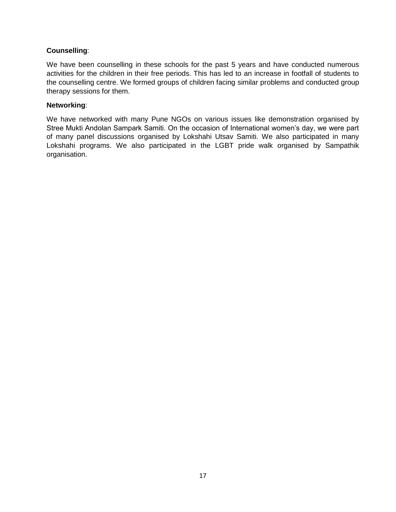#### **Counselling**:

We have been counselling in these schools for the past 5 years and have conducted numerous activities for the children in their free periods. This has led to an increase in footfall of students to the counselling centre. We formed groups of children facing similar problems and conducted group therapy sessions for them.

#### **Networking**:

We have networked with many Pune NGOs on various issues like demonstration organised by Stree Mukti Andolan Sampark Samiti. On the occasion of International women's day, we were part of many panel discussions organised by Lokshahi Utsav Samiti. We also participated in many Lokshahi programs. We also participated in the LGBT pride walk organised by Sampathik organisation.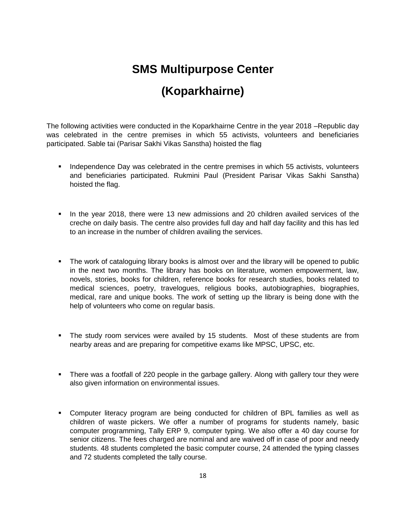## **SMS Multipurpose Center**

### **(Koparkhairne)**

The following activities were conducted in the Koparkhairne Centre in the year 2018 –Republic day was celebrated in the centre premises in which 55 activists, volunteers and beneficiaries participated. Sable tai (Parisar Sakhi Vikas Sanstha) hoisted the flag

- Independence Day was celebrated in the centre premises in which 55 activists, volunteers and beneficiaries participated. Rukmini Paul (President Parisar Vikas Sakhi Sanstha) hoisted the flag.
- In the year 2018, there were 13 new admissions and 20 children availed services of the creche on daily basis. The centre also provides full day and half day facility and this has led to an increase in the number of children availing the services.
- The work of cataloguing library books is almost over and the library will be opened to public in the next two months. The library has books on literature, women empowerment, law, novels, stories, books for children, reference books for research studies, books related to medical sciences, poetry, travelogues, religious books, autobiographies, biographies, medical, rare and unique books. The work of setting up the library is being done with the help of volunteers who come on regular basis.
- The study room services were availed by 15 students. Most of these students are from nearby areas and are preparing for competitive exams like MPSC, UPSC, etc.
- There was a footfall of 220 people in the garbage gallery. Along with gallery tour they were also given information on environmental issues.
- Computer literacy program are being conducted for children of BPL families as well as children of waste pickers. We offer a number of programs for students namely, basic computer programming, Tally ERP 9, computer typing. We also offer a 40 day course for senior citizens. The fees charged are nominal and are waived off in case of poor and needy students. 48 students completed the basic computer course, 24 attended the typing classes and 72 students completed the tally course.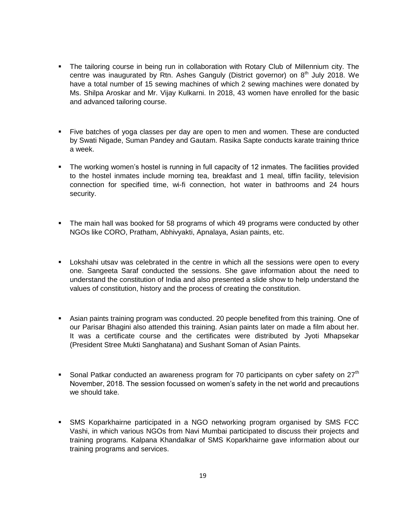- The tailoring course in being run in collaboration with Rotary Club of Millennium city. The centre was inaugurated by Rtn. Ashes Ganguly (District governor) on  $8<sup>th</sup>$  July 2018. We have a total number of 15 sewing machines of which 2 sewing machines were donated by Ms. Shilpa Aroskar and Mr. Vijay Kulkarni. In 2018, 43 women have enrolled for the basic and advanced tailoring course.
- Five batches of yoga classes per day are open to men and women. These are conducted by Swati Nigade, Suman Pandey and Gautam. Rasika Sapte conducts karate training thrice a week.
- The working women's hostel is running in full capacity of 12 inmates. The facilities provided to the hostel inmates include morning tea, breakfast and 1 meal, tiffin facility, television connection for specified time, wi-fi connection, hot water in bathrooms and 24 hours security.
- The main hall was booked for 58 programs of which 49 programs were conducted by other NGOs like CORO, Pratham, Abhivyakti, Apnalaya, Asian paints, etc.
- Lokshahi utsav was celebrated in the centre in which all the sessions were open to every one. Sangeeta Saraf conducted the sessions. She gave information about the need to understand the constitution of India and also presented a slide show to help understand the values of constitution, history and the process of creating the constitution.
- Asian paints training program was conducted. 20 people benefited from this training. One of our Parisar Bhagini also attended this training. Asian paints later on made a film about her. It was a certificate course and the certificates were distributed by Jyoti Mhapsekar (President Stree Mukti Sanghatana) and Sushant Soman of Asian Paints.
- Sonal Patkar conducted an awareness program for 70 participants on cyber safety on  $27<sup>th</sup>$ November, 2018. The session focussed on women's safety in the net world and precautions we should take.
- SMS Koparkhairne participated in a NGO networking program organised by SMS FCC Vashi, in which various NGOs from Navi Mumbai participated to discuss their projects and training programs. Kalpana Khandalkar of SMS Koparkhairne gave information about our training programs and services.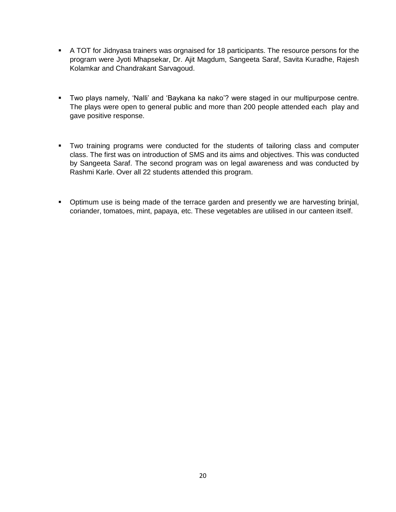- A TOT for Jidnyasa trainers was orgnaised for 18 participants. The resource persons for the program were Jyoti Mhapsekar, Dr. Ajit Magdum, Sangeeta Saraf, Savita Kuradhe, Rajesh Kolamkar and Chandrakant Sarvagoud.
- Two plays namely, 'Nalli' and 'Baykana ka nako'? were staged in our multipurpose centre. The plays were open to general public and more than 200 people attended each play and gave positive response.
- Two training programs were conducted for the students of tailoring class and computer class. The first was on introduction of SMS and its aims and objectives. This was conducted by Sangeeta Saraf. The second program was on legal awareness and was conducted by Rashmi Karle. Over all 22 students attended this program.
- **•** Optimum use is being made of the terrace garden and presently we are harvesting brinjal, coriander, tomatoes, mint, papaya, etc. These vegetables are utilised in our canteen itself.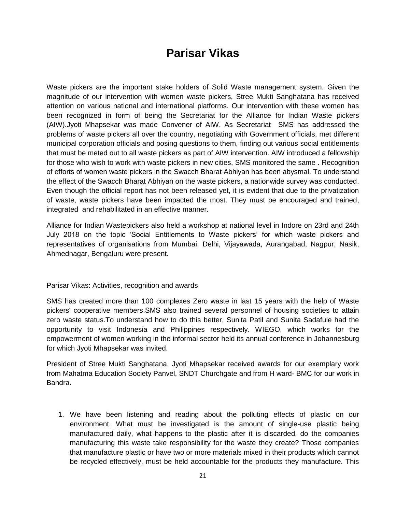### **Parisar Vikas**

Waste pickers are the important stake holders of Solid Waste management system. Given the magnitude of our intervention with women waste pickers, Stree Mukti Sanghatana has received attention on various national and international platforms. Our intervention with these women has been recognized in form of being the Secretariat for the Alliance for Indian Waste pickers (AIW).Jyoti Mhapsekar was made Convener of AIW. As Secretariat SMS has addressed the problems of waste pickers all over the country, negotiating with Government officials, met different municipal corporation officials and posing questions to them, finding out various social entitlements that must be meted out to all waste pickers as part of AIW intervention. AIW introduced a fellowship for those who wish to work with waste pickers in new cities, SMS monitored the same . Recognition of efforts of women waste pickers in the Swacch Bharat Abhiyan has been abysmal. To understand the effect of the Swacch Bharat Abhiyan on the waste pickers, a nationwide survey was conducted. Even though the official report has not been released yet, it is evident that due to the privatization of waste, waste pickers have been impacted the most. They must be encouraged and trained, integrated and rehabilitated in an effective manner.

Alliance for Indian Wastepickers also held a workshop at national level in Indore on 23rd and 24th July 2018 on the topic 'Social Entitlements to Waste pickers' for which waste pickers and representatives of organisations from Mumbai, Delhi, Vijayawada, Aurangabad, Nagpur, Nasik, Ahmednagar, Bengaluru were present.

#### Parisar Vikas: Activities, recognition and awards

SMS has created more than 100 complexes Zero waste in last 15 years with the help of Waste pickers' cooperative members.SMS also trained several personnel of housing societies to attain zero waste status.To understand how to do this better, Sunita Patil and Sunita Sadafule had the opportunity to visit Indonesia and Philippines respectively. WIEGO, which works for the empowerment of women working in the informal sector held its annual conference in Johannesburg for which Jyoti Mhapsekar was invited.

President of Stree Mukti Sanghatana, Jyoti Mhapsekar received awards for our exemplary work from Mahatma Education Society Panvel, SNDT Churchgate and from H ward- BMC for our work in Bandra.

1. We have been listening and reading about the polluting effects of plastic on our environment. What must be investigated is the amount of single-use plastic being manufactured daily, what happens to the plastic after it is discarded, do the companies manufacturing this waste take responsibility for the waste they create? Those companies that manufacture plastic or have two or more materials mixed in their products which cannot be recycled effectively, must be held accountable for the products they manufacture. This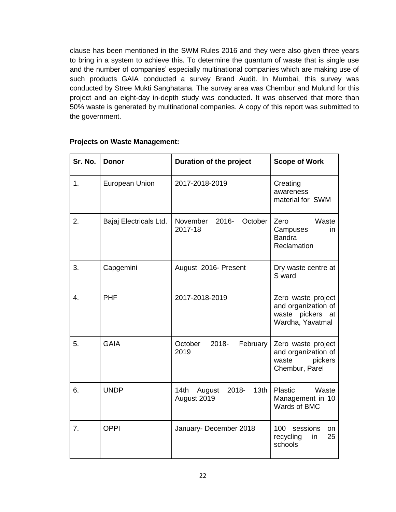clause has been mentioned in the SWM Rules 2016 and they were also given three years to bring in a system to achieve this. To determine the quantum of waste that is single use and the number of companies' especially multinational companies which are making use of such products GAIA conducted a survey Brand Audit. In Mumbai, this survey was conducted by Stree Mukti Sanghatana. The survey area was Chembur and Mulund for this project and an eight-day in-depth study was conducted. It was observed that more than 50% waste is generated by multinational companies. A copy of this report was submitted to the government.

| Sr. No.          | <b>Donor</b>           | Duration of the project                                    | <b>Scope of Work</b>                                                                 |
|------------------|------------------------|------------------------------------------------------------|--------------------------------------------------------------------------------------|
| 1.               | European Union         | 2017-2018-2019                                             | Creating<br>awareness<br>material for SWM                                            |
| 2.               | Bajaj Electricals Ltd. | November<br>2016-<br>October<br>2017-18                    | Waste<br>Zero<br>Campuses<br>in.<br><b>Bandra</b><br>Reclamation                     |
| 3.               | Capgemini              | August 2016- Present                                       | Dry waste centre at<br>S ward                                                        |
| $\overline{4}$ . | <b>PHF</b>             | 2017-2018-2019                                             | Zero waste project<br>and organization of<br>waste pickers<br>at<br>Wardha, Yavatmal |
| 5.               | <b>GAIA</b>            | October<br>2018-<br>February<br>2019                       | Zero waste project<br>and organization of<br>waste<br>pickers<br>Chembur, Parel      |
| 6.               | <b>UNDP</b>            | 14th<br>2018-<br>13 <sub>th</sub><br>August<br>August 2019 | <b>Plastic</b><br>Waste<br>Management in 10<br>Wards of BMC                          |
| 7.               | <b>OPPI</b>            | January- December 2018                                     | 100 sessions<br>on<br>25<br>recycling<br>in<br>schools                               |

#### **Projects on Waste Management:**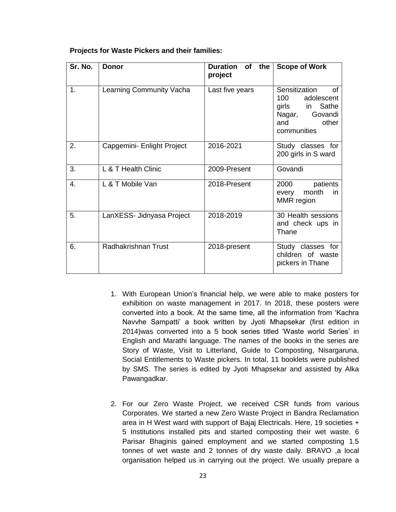#### **Projects for Waste Pickers and their families:**

| Sr. No. | <b>Donor</b>               | Duration of<br>the<br>project | <b>Scope of Work</b>                                                                                           |
|---------|----------------------------|-------------------------------|----------------------------------------------------------------------------------------------------------------|
| 1.      | Learning Community Vacha   | Last five years               | Sensitization<br>Ωf<br>100<br>adolescent<br>girls in Sathe<br>Nagar,<br>Govandi<br>other<br>and<br>communities |
| 2.      | Capgemini- Enlight Project | 2016-2021                     | Study classes for<br>200 girls in S ward                                                                       |
| 3.      | L & T Health Clinic        | 2009-Present                  | Govandi                                                                                                        |
| 4       | L & T Mobile Van           | 2018-Present                  | 2000<br>patients<br>month<br>every<br>in.<br>MMR region                                                        |
| 5.      | LanXESS- Jidnyasa Project  | 2018-2019                     | 30 Health sessions<br>and check ups in<br>Thane                                                                |
| 6.      | <b>Radhakrishnan Trust</b> | 2018-present                  | Study classes for<br>children of waste<br>pickers in Thane                                                     |

- 1. With European Union's financial help, we were able to make posters for exhibition on waste management in 2017. In 2018, these posters were converted into a book. At the same time, all the information from 'Kachra Navvhe Sampatti' a book written by Jyoti Mhapsekar (first edition in 2014)was converted into a 5 book series titled 'Waste world Series' in English and Marathi language. The names of the books in the series are Story of Waste, Visit to Litterland, Guide to Composting, Nisargaruna, Social Entitlements to Waste pickers. In total, 11 booklets were published by SMS. The series is edited by Jyoti Mhapsekar and assisted by Alka Pawangadkar.
- 2. For our Zero Waste Project, we received CSR funds from various Corporates. We started a new Zero Waste Project in Bandra Reclamation area in H West ward with support of Bajaj Electricals. Here, 19 societies + 5 Institutions installed pits and started composting their wet waste. 6 Parisar Bhaginis gained employment and we started composting 1.5 tonnes of wet waste and 2 tonnes of dry waste daily. BRAVO ,a local organisation helped us in carrying out the project. We usually prepare a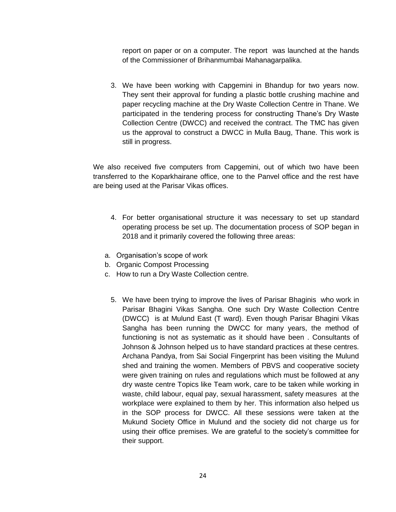report on paper or on a computer. The report was launched at the hands of the Commissioner of Brihanmumbai Mahanagarpalika.

3. We have been working with Capgemini in Bhandup for two years now. They sent their approval for funding a plastic bottle crushing machine and paper recycling machine at the Dry Waste Collection Centre in Thane. We participated in the tendering process for constructing Thane's Dry Waste Collection Centre (DWCC) and received the contract. The TMC has given us the approval to construct a DWCC in Mulla Baug, Thane. This work is still in progress.

We also received five computers from Capgemini, out of which two have been transferred to the Koparkhairane office, one to the Panvel office and the rest have are being used at the Parisar Vikas offices.

- 4. For better organisational structure it was necessary to set up standard operating process be set up. The documentation process of SOP began in 2018 and it primarily covered the following three areas:
- a. Organisation's scope of work
- b. Organic Compost Processing
- c. How to run a Dry Waste Collection centre.
	- 5. We have been trying to improve the lives of Parisar Bhaginis who work in Parisar Bhagini Vikas Sangha. One such Dry Waste Collection Centre (DWCC) is at Mulund East (T ward). Even though Parisar Bhagini Vikas Sangha has been running the DWCC for many years, the method of functioning is not as systematic as it should have been . Consultants of Johnson & Johnson helped us to have standard practices at these centres. Archana Pandya, from Sai Social Fingerprint has been visiting the Mulund shed and training the women. Members of PBVS and cooperative society were given training on rules and regulations which must be followed at any dry waste centre Topics like Team work, care to be taken while working in waste, child labour, equal pay, sexual harassment, safety measures at the workplace were explained to them by her. This information also helped us in the SOP process for DWCC. All these sessions were taken at the Mukund Society Office in Mulund and the society did not charge us for using their office premises. We are grateful to the society's committee for their support.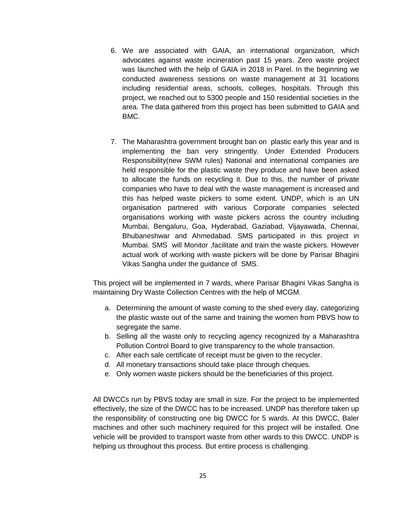- 6. We are associated with GAIA, an international organization, which advocates against waste incineration past 15 years. Zero waste project was launched with the help of GAIA in 2018 in Parel. In the beginning we conducted awareness sessions on waste management at 31 locations including residential areas, schools, colleges, hospitals. Through this project, we reached out to 5300 people and 150 residential societies in the area. The data gathered from this project has been submitted to GAIA and BMC.
- 7. The Maharashtra government brought ban on plastic early this year and is implementing the ban very stringently. Under Extended Producers Responsibility(new SWM rules) National and international companies are held responsible for the plastic waste they produce and have been asked to allocate the funds on recycling it. Due to this, the number of private companies who have to deal with the waste management is increased and this has helped waste pickers to some extent. UNDP, which is an UN organisation partnered with various Corporate companies selected organisations working with waste pickers across the country including Mumbai, Bengaluru, Goa, Hyderabad, Gaziabad, Vijayawada, Chennai, Bhubaneshwar and Ahmedabad. SMS participated in this project in Mumbai. SMS will Monitor ,facilitate and train the waste pickers. However actual work of working with waste pickers will be done by Parisar Bhagini Vikas Sangha under the guidance of SMS.

This project will be implemented in 7 wards, where Parisar Bhagini Vikas Sangha is maintaining Dry Waste Collection Centres with the help of MCGM.

- a. Determining the amount of waste coming to the shed every day, categorizing the plastic waste out of the same and training the women from PBVS how to segregate the same.
- b. Selling all the waste only to recycling agency recognized by a Maharashtra Pollution Control Board to give transparency to the whole transaction.
- c. After each sale certificate of receipt must be given to the recycler.
- d. All monetary transactions should take place through cheques.
- e. Only women waste pickers should be the beneficiaries of this project.

All DWCCs run by PBVS today are small in size. For the project to be implemented effectively, the size of the DWCC has to be increased. UNDP has therefore taken up the responsibility of constructing one big DWCC for 5 wards. At this DWCC, Baler machines and other such machinery required for this project will be installed. One vehicle will be provided to transport waste from other wards to this DWCC. UNDP is helping us throughout this process. But entire process is challenging.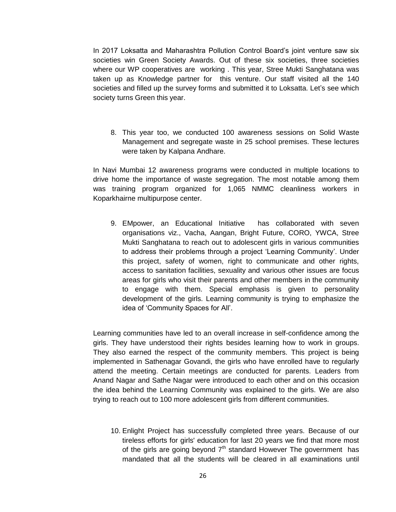In 2017 Loksatta and Maharashtra Pollution Control Board's joint venture saw six societies win Green Society Awards. Out of these six societies, three societies where our WP cooperatives are working . This year, Stree Mukti Sanghatana was taken up as Knowledge partner for this venture. Our staff visited all the 140 societies and filled up the survey forms and submitted it to Loksatta. Let's see which society turns Green this year.

8. This year too, we conducted 100 awareness sessions on Solid Waste Management and segregate waste in 25 school premises. These lectures were taken by Kalpana Andhare.

In Navi Mumbai 12 awareness programs were conducted in multiple locations to drive home the importance of waste segregation. The most notable among them was training program organized for 1,065 NMMC cleanliness workers in Koparkhairne multipurpose center.

9. EMpower, an Educational Initiative has collaborated with seven organisations viz., Vacha, Aangan, Bright Future, CORO, YWCA, Stree Mukti Sanghatana to reach out to adolescent girls in various communities to address their problems through a project 'Learning Community'. Under this project, safety of women, right to communicate and other rights, access to sanitation facilities, sexuality and various other issues are focus areas for girls who visit their parents and other members in the community to engage with them. Special emphasis is given to personality development of the girls. Learning community is trying to emphasize the idea of 'Community Spaces for All'.

Learning communities have led to an overall increase in self-confidence among the girls. They have understood their rights besides learning how to work in groups. They also earned the respect of the community members. This project is being implemented in Sathenagar Govandi, the girls who have enrolled have to regularly attend the meeting. Certain meetings are conducted for parents. Leaders from Anand Nagar and Sathe Nagar were introduced to each other and on this occasion the idea behind the Learning Community was explained to the girls. We are also trying to reach out to 100 more adolescent girls from different communities.

10. Enlight Project has successfully completed three years. Because of our tireless efforts for girls' education for last 20 years we find that more most of the girls are going beyond  $7<sup>th</sup>$  standard However The government has mandated that all the students will be cleared in all examinations until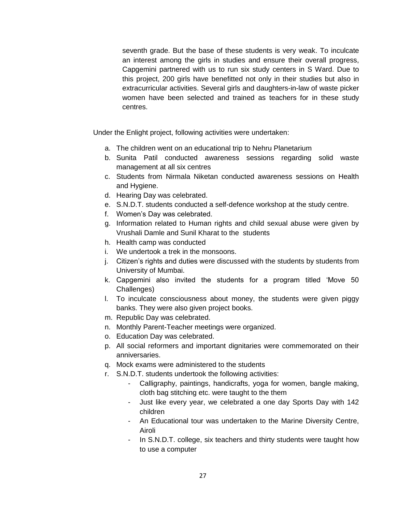seventh grade. But the base of these students is very weak. To inculcate an interest among the girls in studies and ensure their overall progress, Capgemini partnered with us to run six study centers in S Ward. Due to this project, 200 girls have benefitted not only in their studies but also in extracurricular activities. Several girls and daughters-in-law of waste picker women have been selected and trained as teachers for in these study centres.

Under the Enlight project, following activities were undertaken:

- a. The children went on an educational trip to Nehru Planetarium
- b. Sunita Patil conducted awareness sessions regarding solid waste management at all six centres
- c. Students from Nirmala Niketan conducted awareness sessions on Health and Hygiene.
- d. Hearing Day was celebrated.
- e. S.N.D.T. students conducted a self-defence workshop at the study centre.
- f. Women's Day was celebrated.
- g. Information related to Human rights and child sexual abuse were given by Vrushali Damle and Sunil Kharat to the students
- h. Health camp was conducted
- i. We undertook a trek in the monsoons.
- j. Citizen's rights and duties were discussed with the students by students from University of Mumbai.
- k. Capgemini also invited the students for a program titled 'Move 50 Challenges)
- l. To inculcate consciousness about money, the students were given piggy banks. They were also given project books.
- m. Republic Day was celebrated.
- n. Monthly Parent-Teacher meetings were organized.
- o. Education Day was celebrated.
- p. All social reformers and important dignitaries were commemorated on their anniversaries.
- q. Mock exams were administered to the students
- r. S.N.D.T. students undertook the following activities:
	- Calligraphy, paintings, handicrafts, yoga for women, bangle making, cloth bag stitching etc. were taught to the them
	- Just like every year, we celebrated a one day Sports Day with 142 children
	- An Educational tour was undertaken to the Marine Diversity Centre, Airoli
	- In S.N.D.T. college, six teachers and thirty students were taught how to use a computer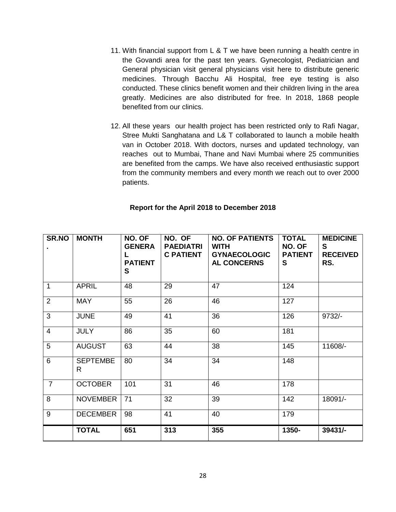- 11. With financial support from  $L \& T$  we have been running a health centre in the Govandi area for the past ten years. Gynecologist, Pediatrician and General physician visit general physicians visit here to distribute generic medicines. Through Bacchu Ali Hospital, free eye testing is also conducted. These clinics benefit women and their children living in the area greatly. Medicines are also distributed for free. In 2018, 1868 people benefited from our clinics.
- 12. All these years our health project has been restricted only to Rafi Nagar, Stree Mukti Sanghatana and L& T collaborated to launch a mobile health van in October 2018. With doctors, nurses and updated technology, van reaches out to Mumbai, Thane and Navi Mumbai where 25 communities are benefited from the camps. We have also received enthusiastic support from the community members and every month we reach out to over 2000 patients.

#### **Report for the April 2018 to December 2018**

| SR.NO          | <b>MONTH</b>                    | NO. OF<br><b>GENERA</b><br><b>PATIENT</b><br>S | NO. OF<br><b>PAEDIATRI</b><br><b>C PATIENT</b> | <b>NO. OF PATIENTS</b><br><b>WITH</b><br><b>GYNAECOLOGIC</b><br><b>AL CONCERNS</b> | <b>TOTAL</b><br>NO. OF<br><b>PATIENT</b><br>S | <b>MEDICINE</b><br>S<br><b>RECEIVED</b><br>RS. |
|----------------|---------------------------------|------------------------------------------------|------------------------------------------------|------------------------------------------------------------------------------------|-----------------------------------------------|------------------------------------------------|
| $\mathbf{1}$   | <b>APRIL</b>                    | 48                                             | 29                                             | 47                                                                                 | 124                                           |                                                |
| $\overline{2}$ | <b>MAY</b>                      | 55                                             | 26                                             | 46                                                                                 | 127                                           |                                                |
| 3              | <b>JUNE</b>                     | 49                                             | 41                                             | 36                                                                                 | 126                                           | $9732/-$                                       |
| $\overline{4}$ | <b>JULY</b>                     | 86                                             | 35                                             | 60                                                                                 | 181                                           |                                                |
| 5              | <b>AUGUST</b>                   | 63                                             | 44                                             | 38                                                                                 | 145                                           | 11608/-                                        |
| $\overline{6}$ | <b>SEPTEMBE</b><br>$\mathsf{R}$ | 80                                             | 34                                             | 34                                                                                 | 148                                           |                                                |
| $\overline{7}$ | <b>OCTOBER</b>                  | 101                                            | 31                                             | 46                                                                                 | 178                                           |                                                |
| 8              | <b>NOVEMBER</b>                 | 71                                             | 32                                             | 39                                                                                 | 142                                           | 18091/-                                        |
| $\overline{9}$ | <b>DECEMBER</b>                 | 98                                             | 41                                             | 40                                                                                 | 179                                           |                                                |
|                | <b>TOTAL</b>                    | 651                                            | 313                                            | 355                                                                                | 1350-                                         | 39431/-                                        |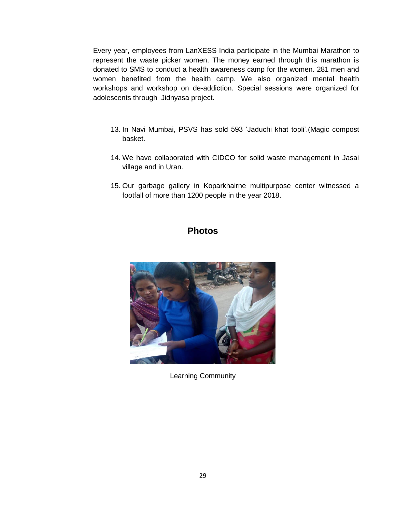Every year, employees from LanXESS India participate in the Mumbai Marathon to represent the waste picker women. The money earned through this marathon is donated to SMS to conduct a health awareness camp for the women. 281 men and women benefited from the health camp. We also organized mental health workshops and workshop on de-addiction. Special sessions were organized for adolescents through Jidnyasa project.

- 13. In Navi Mumbai, PSVS has sold 593 'Jaduchi khat topli'.(Magic compost basket.
- 14. We have collaborated with CIDCO for solid waste management in Jasai village and in Uran.
- 15. Our garbage gallery in Koparkhairne multipurpose center witnessed a footfall of more than 1200 people in the year 2018.

### **Photos**



Learning Community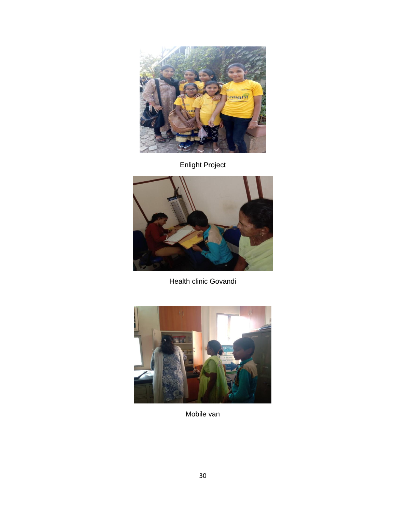

Enlight Project



Health clinic Govandi



Mobile van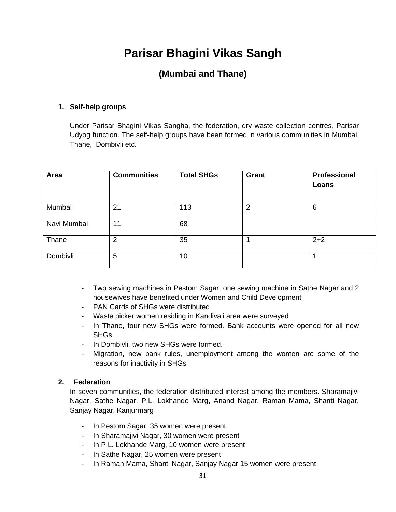# **Parisar Bhagini Vikas Sangh**

### **(Mumbai and Thane)**

#### **1. Self-help groups**

Under Parisar Bhagini Vikas Sangha, the federation, dry waste collection centres, Parisar Udyog function. The self-help groups have been formed in various communities in Mumbai, Thane, Dombivli etc.

| Area        | <b>Communities</b> | <b>Total SHGs</b> | Grant          | Professional<br>Loans |
|-------------|--------------------|-------------------|----------------|-----------------------|
| Mumbai      | 21                 | 113               | $\overline{2}$ | 6                     |
| Navi Mumbai | 11                 | 68                |                |                       |
| Thane       | $\overline{2}$     | 35                |                | $2 + 2$               |
| Dombivli    | 5                  | 10                |                |                       |

- Two sewing machines in Pestom Sagar, one sewing machine in Sathe Nagar and 2 housewives have benefited under Women and Child Development
- PAN Cards of SHGs were distributed
- Waste picker women residing in Kandivali area were surveyed
- In Thane, four new SHGs were formed. Bank accounts were opened for all new **SHG<sub>s</sub>**
- In Dombivli, two new SHGs were formed.
- Migration, new bank rules, unemployment among the women are some of the reasons for inactivity in SHGs

#### **2. Federation**

In seven communities, the federation distributed interest among the members. Sharamajivi Nagar, Sathe Nagar, P.L. Lokhande Marg, Anand Nagar, Raman Mama, Shanti Nagar, Sanjay Nagar, Kanjurmarg

- In Pestom Sagar, 35 women were present.
- In Sharamajivi Nagar, 30 women were present
- In P.L. Lokhande Marg, 10 women were present
- In Sathe Nagar, 25 women were present
- In Raman Mama, Shanti Nagar, Sanjay Nagar 15 women were present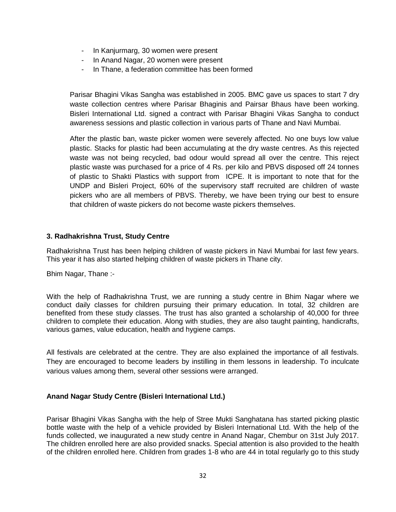- In Kanjurmarg, 30 women were present
- In Anand Nagar, 20 women were present
- In Thane, a federation committee has been formed

Parisar Bhagini Vikas Sangha was established in 2005. BMC gave us spaces to start 7 dry waste collection centres where Parisar Bhaginis and Pairsar Bhaus have been working. Bisleri International Ltd. signed a contract with Parisar Bhagini Vikas Sangha to conduct awareness sessions and plastic collection in various parts of Thane and Navi Mumbai.

After the plastic ban, waste picker women were severely affected. No one buys low value plastic. Stacks for plastic had been accumulating at the dry waste centres. As this rejected waste was not being recycled, bad odour would spread all over the centre. This reject plastic waste was purchased for a price of 4 Rs. per kilo and PBVS disposed off 24 tonnes of plastic to Shakti Plastics with support from ICPE. It is important to note that for the UNDP and Bisleri Project, 60% of the supervisory staff recruited are children of waste pickers who are all members of PBVS. Thereby, we have been trying our best to ensure that children of waste pickers do not become waste pickers themselves.

#### **3. Radhakrishna Trust, Study Centre**

Radhakrishna Trust has been helping children of waste pickers in Navi Mumbai for last few years. This year it has also started helping children of waste pickers in Thane city.

Bhim Nagar, Thane :-

With the help of Radhakrishna Trust, we are running a study centre in Bhim Nagar where we conduct daily classes for children pursuing their primary education. In total, 32 children are benefited from these study classes. The trust has also granted a scholarship of 40,000 for three children to complete their education. Along with studies, they are also taught painting, handicrafts, various games, value education, health and hygiene camps.

All festivals are celebrated at the centre. They are also explained the importance of all festivals. They are encouraged to become leaders by instilling in them lessons in leadership. To inculcate various values among them, several other sessions were arranged.

#### **Anand Nagar Study Centre (Bisleri International Ltd.)**

Parisar Bhagini Vikas Sangha with the help of Stree Mukti Sanghatana has started picking plastic bottle waste with the help of a vehicle provided by Bisleri International Ltd. With the help of the funds collected, we inaugurated a new study centre in Anand Nagar, Chembur on 31st July 2017. The children enrolled here are also provided snacks. Special attention is also provided to the health of the children enrolled here. Children from grades 1-8 who are 44 in total regularly go to this study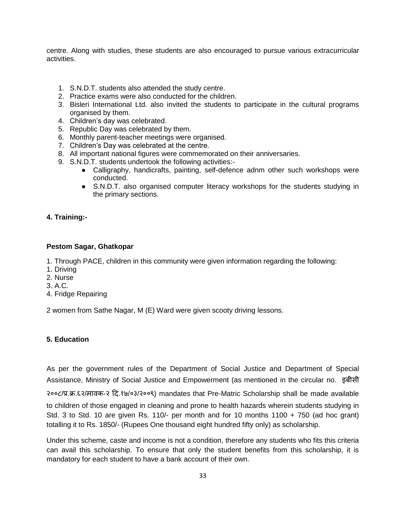centre. Along with studies, these students are also encouraged to pursue various extracurricular activities.

- 1. S.N.D.T. students also attended the study centre.
- 2. Practice exams were also conducted for the children.
- 3. Bisleri International Ltd. also invited the students to participate in the cultural programs organised by them.
- 4. Children's day was celebrated.
- 5. Republic Day was celebrated by them.
- 6. Monthly parent-teacher meetings were organised.
- 7. Children's Day was celebrated at the centre.
- 8. All important national figures were commemorated on their anniversaries.
- 9. S.N.D.T. students undertook the following activities:-
	- Calligraphy, handicrafts, painting, self-defence adnm other such workshops were conducted.
	- S.N.D.T. also organised computer literacy workshops for the students studying in the primary sections.

#### **4. Training:-**

#### **Pestom Sagar, Ghatkopar**

1. Through PACE, children in this community were given information regarding the following:

- 1. Driving
- 2. Nurse
- 3. A.C.
- 4. Fridge Repairing

2 women from Sathe Nagar, M (E) Ward were given scooty driving lessons.

#### **5. Education**

As per the government rules of the Department of Social Justice and Department of Special Assistance, Ministry of Social Justice and Empowerment (as mentioned in the circular no. इबीसी

२००८/प्र.क्र.६२/मावक-२ दि.१७/०३/२००९) mandates that Pre-Matric Scholarship shall be made available

to children of those engaged in cleaning and prone to health hazards wherein students studying in Std. 3 to Std. 10 are given Rs. 110/- per month and for 10 months 1100 + 750 (ad hoc grant) totalling it to Rs. 1850/- (Rupees One thousand eight hundred fifty only) as scholarship.

Under this scheme, caste and income is not a condition, therefore any students who fits this criteria can avail this scholarship. To ensure that only the student benefits from this scholarship, it is mandatory for each student to have a bank account of their own.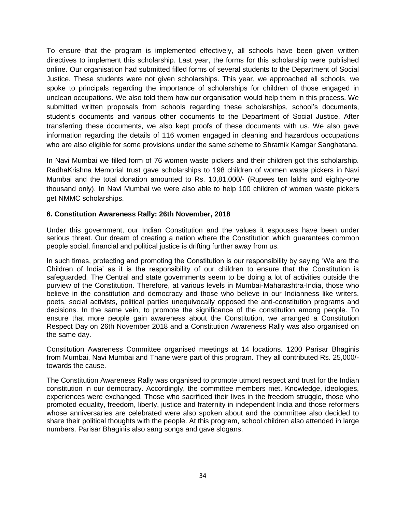To ensure that the program is implemented effectively, all schools have been given written directives to implement this scholarship. Last year, the forms for this scholarship were published online. Our organisation had submitted filled forms of several students to the Department of Social Justice. These students were not given scholarships. This year, we approached all schools, we spoke to principals regarding the importance of scholarships for children of those engaged in unclean occupations. We also told them how our organisation would help them in this process. We submitted written proposals from schools regarding these scholarships, school's documents, student's documents and various other documents to the Department of Social Justice. After transferring these documents, we also kept proofs of these documents with us. We also gave information regarding the details of 116 women engaged in cleaning and hazardous occupations who are also eligible for some provisions under the same scheme to Shramik Kamgar Sanghatana.

In Navi Mumbai we filled form of 76 women waste pickers and their children got this scholarship. RadhaKrishna Memorial trust gave scholarships to 198 children of women waste pickers in Navi Mumbai and the total donation amounted to Rs. 10,81,000/- (Rupees ten lakhs and eighty-one thousand only). In Navi Mumbai we were also able to help 100 children of women waste pickers get NMMC scholarships.

#### **6. Constitution Awareness Rally: 26th November, 2018**

Under this government, our Indian Constitution and the values it espouses have been under serious threat. Our dream of creating a nation where the Constitution which guarantees common people social, financial and political justice is drifting further away from us.

In such times, protecting and promoting the Constitution is our responsibility by saying 'We are the Children of India' as it is the responsibility of our children to ensure that the Constitution is safeguarded. The Central and state governments seem to be doing a lot of activities outside the purview of the Constitution. Therefore, at various levels in Mumbai-Maharashtra-India, those who believe in the constitution and democracy and those who believe in our Indianness like writers, poets, social activists, political parties unequivocally opposed the anti-constitution programs and decisions. In the same vein, to promote the significance of the constitution among people. To ensure that more people gain awareness about the Constitution, we arranged a Constitution Respect Day on 26th November 2018 and a Constitution Awareness Rally was also organised on the same day.

Constitution Awareness Committee organised meetings at 14 locations. 1200 Parisar Bhaginis from Mumbai, Navi Mumbai and Thane were part of this program. They all contributed Rs. 25,000/ towards the cause.

The Constitution Awareness Rally was organised to promote utmost respect and trust for the Indian constitution in our democracy. Accordingly, the committee members met. Knowledge, ideologies, experiences were exchanged. Those who sacrificed their lives in the freedom struggle, those who promoted equality, freedom, liberty, justice and fraternity in independent India and those reformers whose anniversaries are celebrated were also spoken about and the committee also decided to share their political thoughts with the people. At this program, school children also attended in large numbers. Parisar Bhaginis also sang songs and gave slogans.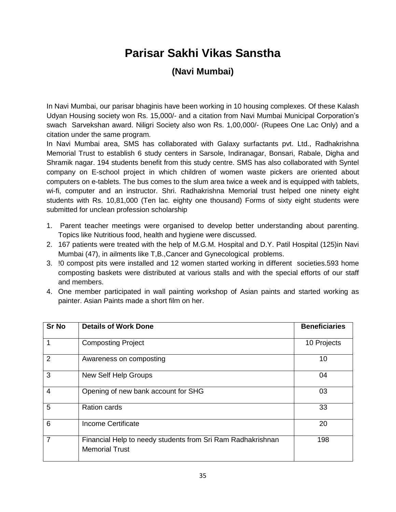## **Parisar Sakhi Vikas Sanstha**

### **(Navi Mumbai)**

In Navi Mumbai, our parisar bhaginis have been working in 10 housing complexes. Of these Kalash Udyan Housing society won Rs. 15,000/- and a citation from Navi Mumbai Municipal Corporation's swach Sarvekshan award. Niligri Society also won Rs. 1,00,000/- (Rupees One Lac Only) and a citation under the same program.

In Navi Mumbai area, SMS has collaborated with Galaxy surfactants pvt. Ltd., Radhakrishna Memorial Trust to establish 6 study centers in Sarsole, Indiranagar, Bonsari, Rabale, Digha and Shramik nagar. 194 students benefit from this study centre. SMS has also collaborated with Syntel company on E-school project in which children of women waste pickers are oriented about computers on e-tablets. The bus comes to the slum area twice a week and is equipped with tablets, wi-fi, computer and an instructor. Shri. Radhakrishna Memorial trust helped one ninety eight students with Rs. 10,81,000 (Ten lac. eighty one thousand) Forms of sixty eight students were submitted for unclean profession scholarship

- 1. Parent teacher meetings were organised to develop better understanding about parenting. Topics like Nutritious food, health and hygiene were discussed.
- 2. 167 patients were treated with the help of M.G.M. Hospital and D.Y. Patil Hospital (125)in Navi Mumbai (47), in ailments like T,B.,Cancer and Gynecological problems.
- 3. !0 compost pits were installed and 12 women started working in different societies.593 home composting baskets were distributed at various stalls and with the special efforts of our staff and members.
- 4. One member participated in wall painting workshop of Asian paints and started working as painter. Asian Paints made a short film on her.

| <b>Sr No</b>   | <b>Details of Work Done</b>                                                          | <b>Beneficiaries</b> |
|----------------|--------------------------------------------------------------------------------------|----------------------|
|                | <b>Composting Project</b>                                                            | 10 Projects          |
| $\overline{2}$ | Awareness on composting                                                              | 10                   |
| 3              | New Self Help Groups                                                                 | 04                   |
| $\overline{4}$ | Opening of new bank account for SHG                                                  | 03                   |
| 5              | <b>Ration cards</b>                                                                  | 33                   |
| 6              | <b>Income Certificate</b>                                                            | 20                   |
| $\overline{7}$ | Financial Help to needy students from Sri Ram Radhakrishnan<br><b>Memorial Trust</b> | 198                  |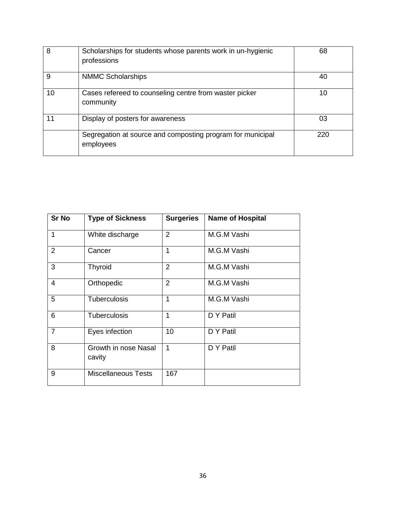| 8  | Scholarships for students whose parents work in un-hygienic<br>professions | 68  |
|----|----------------------------------------------------------------------------|-----|
| 9  | <b>NMMC Scholarships</b>                                                   | 40  |
| 10 | Cases refereed to counseling centre from waster picker<br>community        | 10  |
| 11 | Display of posters for awareness                                           | 03  |
|    | Segregation at source and composting program for municipal<br>employees    | 220 |

| <b>Sr No</b>   | <b>Type of Sickness</b>        | <b>Surgeries</b> | <b>Name of Hospital</b> |
|----------------|--------------------------------|------------------|-------------------------|
| $\mathbf{1}$   | White discharge                | $\overline{2}$   | M.G.M Vashi             |
| $\overline{2}$ | Cancer                         | 1                | M.G.M Vashi             |
| 3              | Thyroid                        | $\overline{2}$   | M.G.M Vashi             |
| $\overline{4}$ | Orthopedic                     | $\overline{2}$   | M.G.M Vashi             |
| 5              | <b>Tuberculosis</b>            | 1                | M.G.M Vashi             |
| 6              | <b>Tuberculosis</b>            | 1                | D Y Patil               |
| $\overline{7}$ | Eyes infection                 | 10               | D Y Patil               |
| 8              | Growth in nose Nasal<br>cavity | 1                | D Y Patil               |
| 9              | <b>Miscellaneous Tests</b>     | 167              |                         |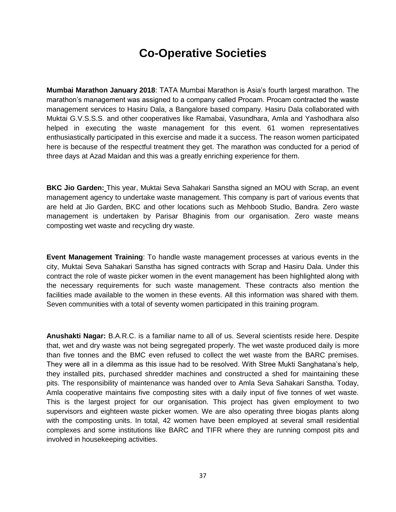### **Co-Operative Societies**

**Mumbai Marathon January 2018**: TATA Mumbai Marathon is Asia's fourth largest marathon. The marathon's management was assigned to a company called Procam. Procam contracted the waste management services to Hasiru Dala, a Bangalore based company. Hasiru Dala collaborated with Muktai G.V.S.S.S. and other cooperatives like Ramabai, Vasundhara, Amla and Yashodhara also helped in executing the waste management for this event. 61 women representatives enthusiastically participated in this exercise and made it a success. The reason women participated here is because of the respectful treatment they get. The marathon was conducted for a period of three days at Azad Maidan and this was a greatly enriching experience for them.

**BKC Jio Garden:** This year, Muktai Seva Sahakari Sanstha signed an MOU with Scrap, an event management agency to undertake waste management. This company is part of various events that are held at Jio Garden, BKC and other locations such as Mehboob Studio, Bandra. Zero waste management is undertaken by Parisar Bhaginis from our organisation. Zero waste means composting wet waste and recycling dry waste.

**Event Management Training**: To handle waste management processes at various events in the city, Muktai Seva Sahakari Sanstha has signed contracts with Scrap and Hasiru Dala. Under this contract the role of waste picker women in the event management has been highlighted along with the necessary requirements for such waste management. These contracts also mention the facilities made available to the women in these events. All this information was shared with them. Seven communities with a total of seventy women participated in this training program.

**Anushakti Nagar:** B.A.R.C. is a familiar name to all of us. Several scientists reside here. Despite that, wet and dry waste was not being segregated properly. The wet waste produced daily is more than five tonnes and the BMC even refused to collect the wet waste from the BARC premises. They were all in a dilemma as this issue had to be resolved. With Stree Mukti Sanghatana's help, they installed pits, purchased shredder machines and constructed a shed for maintaining these pits. The responsibility of maintenance was handed over to Amla Seva Sahakari Sanstha. Today, Amla cooperative maintains five composting sites with a daily input of five tonnes of wet waste. This is the largest project for our organisation. This project has given employment to two supervisors and eighteen waste picker women. We are also operating three biogas plants along with the composting units. In total, 42 women have been employed at several small residential complexes and some institutions like BARC and TIFR where they are running compost pits and involved in housekeeping activities.